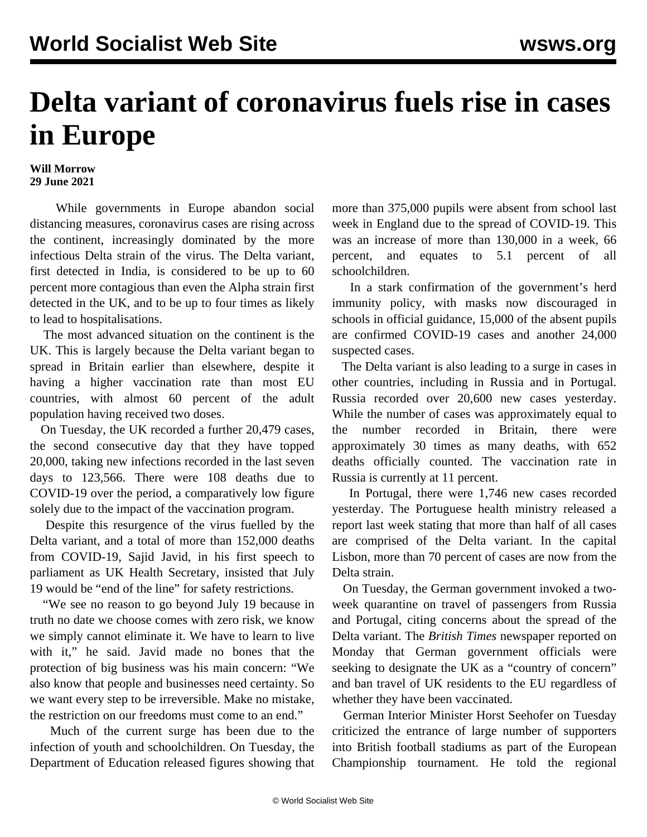## **Delta variant of coronavirus fuels rise in cases in Europe**

## **Will Morrow 29 June 2021**

 While governments in Europe abandon social distancing measures, coronavirus cases are rising across the continent, increasingly dominated by the more infectious Delta strain of the virus. The Delta variant, first detected in India, is considered to be up to 60 percent more contagious than even the Alpha strain first detected in the UK, and to be up to four times as likely to lead to hospitalisations.

 The most advanced situation on the continent is the UK. This is largely because the Delta variant began to spread in Britain earlier than elsewhere, despite it having a higher vaccination rate than most EU countries, with almost 60 percent of the adult population having received two doses.

 On Tuesday, the UK recorded a further 20,479 cases, the second consecutive day that they have topped 20,000, taking new infections recorded in the last seven days to 123,566. There were 108 deaths due to COVID-19 over the period, a comparatively low figure solely due to the impact of the vaccination program.

 Despite this resurgence of the virus fuelled by the Delta variant, and a total of more than 152,000 deaths from COVID-19, Sajid Javid, in his first speech to parliament as UK Health Secretary, insisted that July 19 would be "end of the line" for safety restrictions.

 "We see no reason to go beyond July 19 because in truth no date we choose comes with zero risk, we know we simply cannot eliminate it. We have to learn to live with it," he said. Javid made no bones that the protection of big business was his main concern: "We also know that people and businesses need certainty. So we want every step to be irreversible. Make no mistake, the restriction on our freedoms must come to an end."

 Much of the current surge has been due to the infection of youth and schoolchildren. On Tuesday, the Department of Education released figures showing that more than 375,000 pupils were absent from school last week in England due to the spread of COVID-19. This was an increase of more than 130,000 in a week, 66 percent, and equates to 5.1 percent of all schoolchildren.

 In a stark confirmation of the government's herd immunity policy, with masks now discouraged in schools in official guidance, 15,000 of the absent pupils are confirmed COVID-19 cases and another 24,000 suspected cases.

 The Delta variant is also leading to a surge in cases in other countries, including in Russia and in Portugal. Russia recorded over 20,600 new cases yesterday. While the number of cases was approximately equal to the number recorded in Britain, there were approximately 30 times as many deaths, with 652 deaths officially counted. The vaccination rate in Russia is currently at 11 percent.

 In Portugal, there were 1,746 new cases recorded yesterday. The Portuguese health ministry released a report last week stating that more than half of all cases are comprised of the Delta variant. In the capital Lisbon, more than 70 percent of cases are now from the Delta strain.

 On Tuesday, the German government invoked a twoweek quarantine on travel of passengers from Russia and Portugal, citing concerns about the spread of the Delta variant. The *British Times* newspaper reported on Monday that German government officials were seeking to designate the UK as a "country of concern" and ban travel of UK residents to the EU regardless of whether they have been vaccinated.

 German Interior Minister Horst Seehofer on Tuesday criticized the entrance of large number of supporters into British football stadiums as part of the European Championship tournament. He told the regional